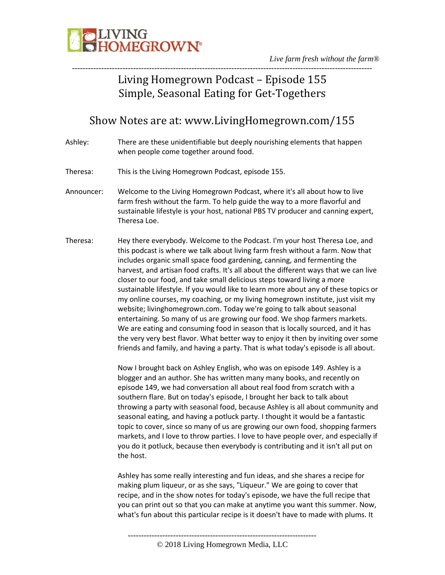

## Living Homegrown Podcast – Episode 155 Simple, Seasonal Eating for Get-Togethers

### Show Notes are at: www.LivingHomegrown.com/155

- Ashley: There are these unidentifiable but deeply nourishing elements that happen when people come together around food.
- Theresa: This is the Living Homegrown Podcast, episode 155.
- Announcer: Welcome to the Living Homegrown Podcast, where it's all about how to live farm fresh without the farm. To help guide the way to a more flavorful and sustainable lifestyle is your host, national PBS TV producer and canning expert, Theresa Loe.
- Theresa: Hey there everybody. Welcome to the Podcast. I'm your host Theresa Loe, and this podcast is where we talk about living farm fresh without a farm. Now that includes organic small space food gardening, canning, and fermenting the harvest, and artisan food crafts. It's all about the different ways that we can live closer to our food, and take small delicious steps toward living a more sustainable lifestyle. If you would like to learn more about any of these topics or my online courses, my coaching, or my living homegrown institute, just visit my website; livinghomegrown.com. Today we're going to talk about seasonal entertaining. So many of us are growing our food. We shop farmers markets. We are eating and consuming food in season that is locally sourced, and it has the very very best flavor. What better way to enjoy it then by inviting over some friends and family, and having a party. That is what today's episode is all about.

Now I brought back on Ashley English, who was on episode 149. Ashley is a blogger and an author. She has written many many books, and recently on episode 149, we had conversation all about real food from scratch with a southern flare. But on today's episode, I brought her back to talk about throwing a party with seasonal food, because Ashley is all about community and seasonal eating, and having a potluck party. I thought it would be a fantastic topic to cover, since so many of us are growing our own food, shopping farmers markets, and I love to throw parties. I love to have people over, and especially if you do it potluck, because then everybody is contributing and it isn't all put on the host.

Ashley has some really interesting and fun ideas, and she shares a recipe for making plum liqueur, or as she says, "Liqueur." We are going to cover that recipe, and in the show notes for today's episode, we have the full recipe that you can print out so that you can make at anytime you want this summer. Now, what's fun about this particular recipe is it doesn't have to made with plums. It

<sup>-----------------------------------------------------------------------</sup>

<sup>©</sup> 2018 Living Homegrown Media, LLC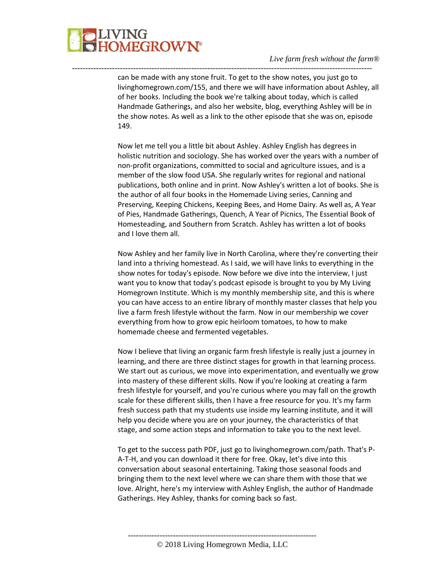

can be made with any stone fruit. To get to the show notes, you just go to livinghomegrown.com/155, and there we will have information about Ashley, all of her books. Including the book we're talking about today, which is called Handmade Gatherings, and also her website, blog, everything Ashley will be in the show notes. As well as a link to the other episode that she was on, episode 149.

-----------------------------------------------------------------------------------------------------------------

Now let me tell you a little bit about Ashley. Ashley English has degrees in holistic nutrition and sociology. She has worked over the years with a number of non-profit organizations, committed to social and agriculture issues, and is a member of the slow food USA. She regularly writes for regional and national publications, both online and in print. Now Ashley's written a lot of books. She is the author of all four books in the Homemade Living series, Canning and Preserving, Keeping Chickens, Keeping Bees, and Home Dairy. As well as, A Year of Pies, Handmade Gatherings, Quench, A Year of Picnics, The Essential Book of Homesteading, and Southern from Scratch. Ashley has written a lot of books and I love them all.

Now Ashley and her family live in North Carolina, where they're converting their land into a thriving homestead. As I said, we will have links to everything in the show notes for today's episode. Now before we dive into the interview, I just want you to know that today's podcast episode is brought to you by My Living Homegrown Institute. Which is my monthly membership site, and this is where you can have access to an entire library of monthly master classes that help you live a farm fresh lifestyle without the farm. Now in our membership we cover everything from how to grow epic heirloom tomatoes, to how to make homemade cheese and fermented vegetables.

Now I believe that living an organic farm fresh lifestyle is really just a journey in learning, and there are three distinct stages for growth in that learning process. We start out as curious, we move into experimentation, and eventually we grow into mastery of these different skills. Now if you're looking at creating a farm fresh lifestyle for yourself, and you're curious where you may fall on the growth scale for these different skills, then I have a free resource for you. It's my farm fresh success path that my students use inside my learning institute, and it will help you decide where you are on your journey, the characteristics of that stage, and some action steps and information to take you to the next level.

To get to the success path PDF, just go to livinghomegrown.com/path. That's P-A-T-H, and you can download it there for free. Okay, let's dive into this conversation about seasonal entertaining. Taking those seasonal foods and bringing them to the next level where we can share them with those that we love. Alright, here's my interview with Ashley English, the author of Handmade Gatherings. Hey Ashley, thanks for coming back so fast.

----------------------------------------------------------------------- © 2018 Living Homegrown Media, LLC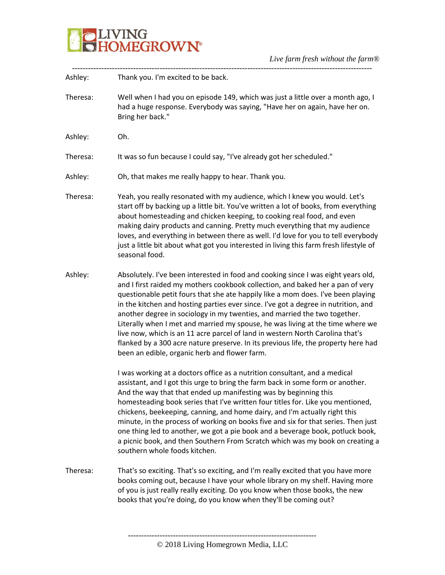

| Ashley:  | Thank you. I'm excited to be back.                                                                                                                                                                                                                                                                                                                                                                                                                                                                                                                                                                                                                                                                                                   |
|----------|--------------------------------------------------------------------------------------------------------------------------------------------------------------------------------------------------------------------------------------------------------------------------------------------------------------------------------------------------------------------------------------------------------------------------------------------------------------------------------------------------------------------------------------------------------------------------------------------------------------------------------------------------------------------------------------------------------------------------------------|
| Theresa: | Well when I had you on episode 149, which was just a little over a month ago, I<br>had a huge response. Everybody was saying, "Have her on again, have her on.<br>Bring her back."                                                                                                                                                                                                                                                                                                                                                                                                                                                                                                                                                   |
| Ashley:  | Oh.                                                                                                                                                                                                                                                                                                                                                                                                                                                                                                                                                                                                                                                                                                                                  |
| Theresa: | It was so fun because I could say, "I've already got her scheduled."                                                                                                                                                                                                                                                                                                                                                                                                                                                                                                                                                                                                                                                                 |
| Ashley:  | Oh, that makes me really happy to hear. Thank you.                                                                                                                                                                                                                                                                                                                                                                                                                                                                                                                                                                                                                                                                                   |
| Theresa: | Yeah, you really resonated with my audience, which I knew you would. Let's<br>start off by backing up a little bit. You've written a lot of books, from everything<br>about homesteading and chicken keeping, to cooking real food, and even<br>making dairy products and canning. Pretty much everything that my audience<br>loves, and everything in between there as well. I'd love for you to tell everybody<br>just a little bit about what got you interested in living this farm fresh lifestyle of<br>seasonal food.                                                                                                                                                                                                         |
| Ashley:  | Absolutely. I've been interested in food and cooking since I was eight years old,<br>and I first raided my mothers cookbook collection, and baked her a pan of very<br>questionable petit fours that she ate happily like a mom does. I've been playing<br>in the kitchen and hosting parties ever since. I've got a degree in nutrition, and<br>another degree in sociology in my twenties, and married the two together.<br>Literally when I met and married my spouse, he was living at the time where we<br>live now, which is an 11 acre parcel of land in western North Carolina that's<br>flanked by a 300 acre nature preserve. In its previous life, the property here had<br>been an edible, organic herb and flower farm. |
|          | I was working at a doctors office as a nutrition consultant, and a medical<br>assistant, and I got this urge to bring the farm back in some form or another.<br>And the way that that ended up manifesting was by beginning this<br>homesteading book series that I've written four titles for. Like you mentioned,<br>chickens, beekeeping, canning, and home dairy, and I'm actually right this<br>minute, in the process of working on books five and six for that series. Then just<br>one thing led to another, we got a pie book and a beverage book, potluck book,<br>a picnic book, and then Southern From Scratch which was my book on creating a<br>southern whole foods kitchen.                                          |
| Theresa: | That's so exciting. That's so exciting, and I'm really excited that you have more<br>books coming out, because I have your whole library on my shelf. Having more<br>of you is just really really exciting. Do you know when those books, the new<br>books that you're doing, do you know when they'll be coming out?                                                                                                                                                                                                                                                                                                                                                                                                                |
|          |                                                                                                                                                                                                                                                                                                                                                                                                                                                                                                                                                                                                                                                                                                                                      |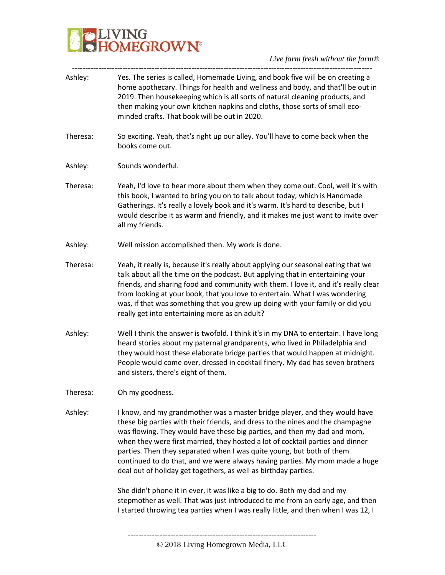

*Live farm fresh without the farm®* -----------------------------------------------------------------------------------------------------------------

| Ashley:  | Yes. The series is called, Homemade Living, and book five will be on creating a<br>home apothecary. Things for health and wellness and body, and that'll be out in<br>2019. Then housekeeping which is all sorts of natural cleaning products, and<br>then making your own kitchen napkins and cloths, those sorts of small eco-<br>minded crafts. That book will be out in 2020.                                                                                                                                                                                                                                                                                                                                                                                                                         |
|----------|-----------------------------------------------------------------------------------------------------------------------------------------------------------------------------------------------------------------------------------------------------------------------------------------------------------------------------------------------------------------------------------------------------------------------------------------------------------------------------------------------------------------------------------------------------------------------------------------------------------------------------------------------------------------------------------------------------------------------------------------------------------------------------------------------------------|
| Theresa: | So exciting. Yeah, that's right up our alley. You'll have to come back when the<br>books come out.                                                                                                                                                                                                                                                                                                                                                                                                                                                                                                                                                                                                                                                                                                        |
| Ashley:  | Sounds wonderful.                                                                                                                                                                                                                                                                                                                                                                                                                                                                                                                                                                                                                                                                                                                                                                                         |
| Theresa: | Yeah, I'd love to hear more about them when they come out. Cool, well it's with<br>this book, I wanted to bring you on to talk about today, which is Handmade<br>Gatherings. It's really a lovely book and it's warm. It's hard to describe, but I<br>would describe it as warm and friendly, and it makes me just want to invite over<br>all my friends.                                                                                                                                                                                                                                                                                                                                                                                                                                                 |
| Ashley:  | Well mission accomplished then. My work is done.                                                                                                                                                                                                                                                                                                                                                                                                                                                                                                                                                                                                                                                                                                                                                          |
| Theresa: | Yeah, it really is, because it's really about applying our seasonal eating that we<br>talk about all the time on the podcast. But applying that in entertaining your<br>friends, and sharing food and community with them. I love it, and it's really clear<br>from looking at your book, that you love to entertain. What I was wondering<br>was, if that was something that you grew up doing with your family or did you<br>really get into entertaining more as an adult?                                                                                                                                                                                                                                                                                                                             |
| Ashley:  | Well I think the answer is twofold. I think it's in my DNA to entertain. I have long<br>heard stories about my paternal grandparents, who lived in Philadelphia and<br>they would host these elaborate bridge parties that would happen at midnight.<br>People would come over, dressed in cocktail finery. My dad has seven brothers<br>and sisters, there's eight of them.                                                                                                                                                                                                                                                                                                                                                                                                                              |
| Theresa: | Oh my goodness.                                                                                                                                                                                                                                                                                                                                                                                                                                                                                                                                                                                                                                                                                                                                                                                           |
| Ashley:  | I know, and my grandmother was a master bridge player, and they would have<br>these big parties with their friends, and dress to the nines and the champagne<br>was flowing. They would have these big parties, and then my dad and mom,<br>when they were first married, they hosted a lot of cocktail parties and dinner<br>parties. Then they separated when I was quite young, but both of them<br>continued to do that, and we were always having parties. My mom made a huge<br>deal out of holiday get togethers, as well as birthday parties.<br>She didn't phone it in ever, it was like a big to do. Both my dad and my<br>stepmother as well. That was just introduced to me from an early age, and then<br>I started throwing tea parties when I was really little, and then when I was 12, I |
|          |                                                                                                                                                                                                                                                                                                                                                                                                                                                                                                                                                                                                                                                                                                                                                                                                           |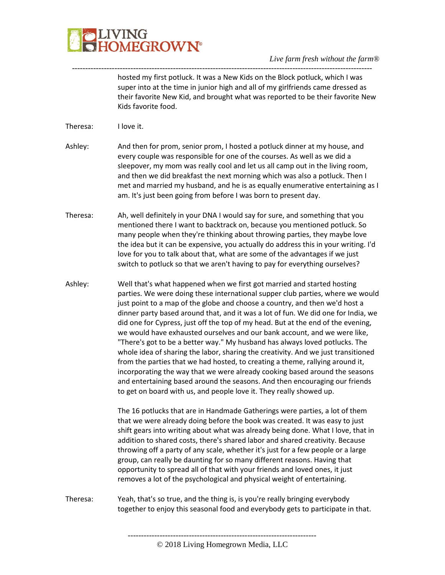

hosted my first potluck. It was a New Kids on the Block potluck, which I was super into at the time in junior high and all of my girlfriends came dressed as their favorite New Kid, and brought what was reported to be their favorite New Kids favorite food.

Theresa: I love it.

Ashley: And then for prom, senior prom, I hosted a potluck dinner at my house, and every couple was responsible for one of the courses. As well as we did a sleepover, my mom was really cool and let us all camp out in the living room, and then we did breakfast the next morning which was also a potluck. Then I met and married my husband, and he is as equally enumerative entertaining as I am. It's just been going from before I was born to present day.

-----------------------------------------------------------------------------------------------------------------

Theresa: Ah, well definitely in your DNA I would say for sure, and something that you mentioned there I want to backtrack on, because you mentioned potluck. So many people when they're thinking about throwing parties, they maybe love the idea but it can be expensive, you actually do address this in your writing. I'd love for you to talk about that, what are some of the advantages if we just switch to potluck so that we aren't having to pay for everything ourselves?

Ashley: Well that's what happened when we first got married and started hosting parties. We were doing these international supper club parties, where we would just point to a map of the globe and choose a country, and then we'd host a dinner party based around that, and it was a lot of fun. We did one for India, we did one for Cypress, just off the top of my head. But at the end of the evening, we would have exhausted ourselves and our bank account, and we were like, "There's got to be a better way." My husband has always loved potlucks. The whole idea of sharing the labor, sharing the creativity. And we just transitioned from the parties that we had hosted, to creating a theme, rallying around it, incorporating the way that we were already cooking based around the seasons and entertaining based around the seasons. And then encouraging our friends to get on board with us, and people love it. They really showed up.

> The 16 potlucks that are in Handmade Gatherings were parties, a lot of them that we were already doing before the book was created. It was easy to just shift gears into writing about what was already being done. What I love, that in addition to shared costs, there's shared labor and shared creativity. Because throwing off a party of any scale, whether it's just for a few people or a large group, can really be daunting for so many different reasons. Having that opportunity to spread all of that with your friends and loved ones, it just removes a lot of the psychological and physical weight of entertaining.

> > -----------------------------------------------------------------------

Theresa: Yeah, that's so true, and the thing is, is you're really bringing everybody together to enjoy this seasonal food and everybody gets to participate in that.

<sup>©</sup> 2018 Living Homegrown Media, LLC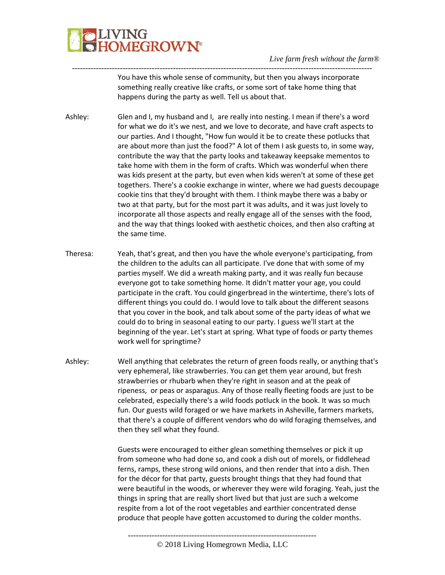

----------------------------------------------------------------------------------------------------------------- You have this whole sense of community, but then you always incorporate something really creative like crafts, or some sort of take home thing that happens during the party as well. Tell us about that.

Ashley: Glen and I, my husband and I, are really into nesting. I mean if there's a word for what we do it's we nest, and we love to decorate, and have craft aspects to our parties. And I thought, "How fun would it be to create these potlucks that are about more than just the food?" A lot of them I ask guests to, in some way, contribute the way that the party looks and takeaway keepsake mementos to take home with them in the form of crafts. Which was wonderful when there was kids present at the party, but even when kids weren't at some of these get togethers. There's a cookie exchange in winter, where we had guests decoupage cookie tins that they'd brought with them. I think maybe there was a baby or two at that party, but for the most part it was adults, and it was just lovely to incorporate all those aspects and really engage all of the senses with the food, and the way that things looked with aesthetic choices, and then also crafting at the same time.

- Theresa: Yeah, that's great, and then you have the whole everyone's participating, from the children to the adults can all participate. I've done that with some of my parties myself. We did a wreath making party, and it was really fun because everyone got to take something home. It didn't matter your age, you could participate in the craft. You could gingerbread in the wintertime, there's lots of different things you could do. I would love to talk about the different seasons that you cover in the book, and talk about some of the party ideas of what we could do to bring in seasonal eating to our party. I guess we'll start at the beginning of the year. Let's start at spring. What type of foods or party themes work well for springtime?
- Ashley: Well anything that celebrates the return of green foods really, or anything that's very ephemeral, like strawberries. You can get them year around, but fresh strawberries or rhubarb when they're right in season and at the peak of ripeness, or peas or asparagus. Any of those really fleeting foods are just to be celebrated, especially there's a wild foods potluck in the book. It was so much fun. Our guests wild foraged or we have markets in Asheville, farmers markets, that there's a couple of different vendors who do wild foraging themselves, and then they sell what they found.

Guests were encouraged to either glean something themselves or pick it up from someone who had done so, and cook a dish out of morels, or fiddlehead ferns, ramps, these strong wild onions, and then render that into a dish. Then for the décor for that party, guests brought things that they had found that were beautiful in the woods, or wherever they were wild foraging. Yeah, just the things in spring that are really short lived but that just are such a welcome respite from a lot of the root vegetables and earthier concentrated dense produce that people have gotten accustomed to during the colder months.

<sup>-----------------------------------------------------------------------</sup>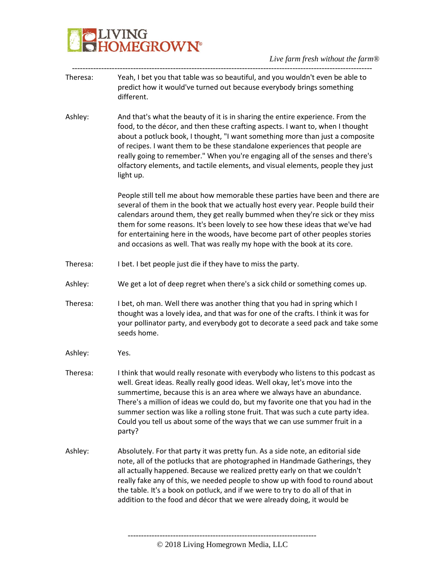# VING<br>DMEGROW**N°**

#### *Live farm fresh without the farm®*

- ----------------------------------------------------------------------------------------------------------------- Theresa: Yeah, I bet you that table was so beautiful, and you wouldn't even be able to predict how it would've turned out because everybody brings something different.
- Ashley: And that's what the beauty of it is in sharing the entire experience. From the food, to the décor, and then these crafting aspects. I want to, when I thought about a potluck book, I thought, "I want something more than just a composite of recipes. I want them to be these standalone experiences that people are really going to remember." When you're engaging all of the senses and there's olfactory elements, and tactile elements, and visual elements, people they just light up.

People still tell me about how memorable these parties have been and there are several of them in the book that we actually host every year. People build their calendars around them, they get really bummed when they're sick or they miss them for some reasons. It's been lovely to see how these ideas that we've had for entertaining here in the woods, have become part of other peoples stories and occasions as well. That was really my hope with the book at its core.

- Theresa: I bet. I bet people just die if they have to miss the party.
- Ashley: We get a lot of deep regret when there's a sick child or something comes up.
- Theresa: I bet, oh man. Well there was another thing that you had in spring which I thought was a lovely idea, and that was for one of the crafts. I think it was for your pollinator party, and everybody got to decorate a seed pack and take some seeds home.
- Ashley: Yes.
- Theresa: I think that would really resonate with everybody who listens to this podcast as well. Great ideas. Really really good ideas. Well okay, let's move into the summertime, because this is an area where we always have an abundance. There's a million of ideas we could do, but my favorite one that you had in the summer section was like a rolling stone fruit. That was such a cute party idea. Could you tell us about some of the ways that we can use summer fruit in a party?
- Ashley: Absolutely. For that party it was pretty fun. As a side note, an editorial side note, all of the potlucks that are photographed in Handmade Gatherings, they all actually happened. Because we realized pretty early on that we couldn't really fake any of this, we needed people to show up with food to round about the table. It's a book on potluck, and if we were to try to do all of that in addition to the food and décor that we were already doing, it would be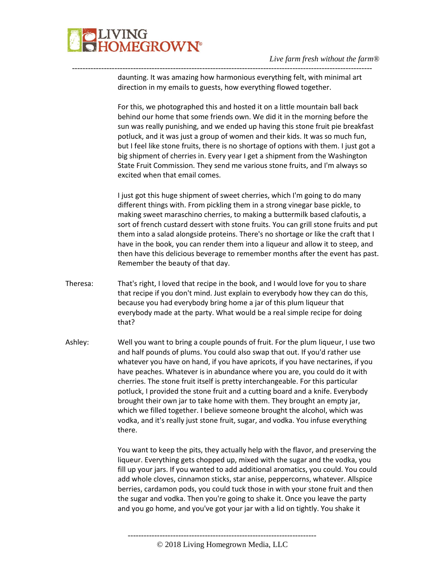

---------------------------------------------------------------------------------------------------------------- daunting. It was amazing how harmonious everything felt, with minimal art direction in my emails to guests, how everything flowed together.

> For this, we photographed this and hosted it on a little mountain ball back behind our home that some friends own. We did it in the morning before the sun was really punishing, and we ended up having this stone fruit pie breakfast potluck, and it was just a group of women and their kids. It was so much fun, but I feel like stone fruits, there is no shortage of options with them. I just got a big shipment of cherries in. Every year I get a shipment from the Washington State Fruit Commission. They send me various stone fruits, and I'm always so excited when that email comes.

I just got this huge shipment of sweet cherries, which I'm going to do many different things with. From pickling them in a strong vinegar base pickle, to making sweet maraschino cherries, to making a buttermilk based clafoutis, a sort of french custard dessert with stone fruits. You can grill stone fruits and put them into a salad alongside proteins. There's no shortage or like the craft that I have in the book, you can render them into a liqueur and allow it to steep, and then have this delicious beverage to remember months after the event has past. Remember the beauty of that day.

- Theresa: That's right, I loved that recipe in the book, and I would love for you to share that recipe if you don't mind. Just explain to everybody how they can do this, because you had everybody bring home a jar of this plum liqueur that everybody made at the party. What would be a real simple recipe for doing that?
- Ashley: Well you want to bring a couple pounds of fruit. For the plum liqueur, I use two and half pounds of plums. You could also swap that out. If you'd rather use whatever you have on hand, if you have apricots, if you have nectarines, if you have peaches. Whatever is in abundance where you are, you could do it with cherries. The stone fruit itself is pretty interchangeable. For this particular potluck, I provided the stone fruit and a cutting board and a knife. Everybody brought their own jar to take home with them. They brought an empty jar, which we filled together. I believe someone brought the alcohol, which was vodka, and it's really just stone fruit, sugar, and vodka. You infuse everything there.

You want to keep the pits, they actually help with the flavor, and preserving the liqueur. Everything gets chopped up, mixed with the sugar and the vodka, you fill up your jars. If you wanted to add additional aromatics, you could. You could add whole cloves, cinnamon sticks, star anise, peppercorns, whatever. Allspice berries, cardamon pods, you could tuck those in with your stone fruit and then the sugar and vodka. Then you're going to shake it. Once you leave the party and you go home, and you've got your jar with a lid on tightly. You shake it

<sup>©</sup> 2018 Living Homegrown Media, LLC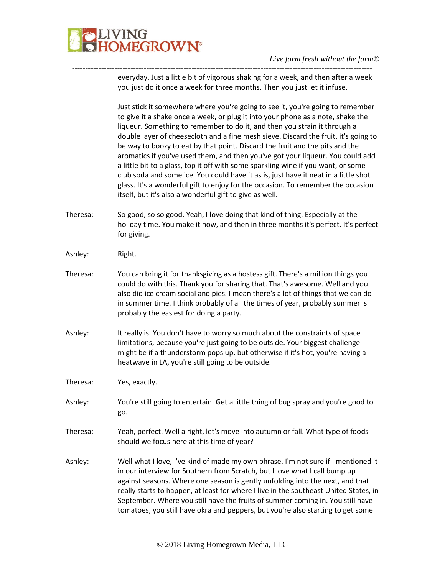

---------------------------------------------------------------------------------------------------------------- everyday. Just a little bit of vigorous shaking for a week, and then after a week you just do it once a week for three months. Then you just let it infuse.

> Just stick it somewhere where you're going to see it, you're going to remember to give it a shake once a week, or plug it into your phone as a note, shake the liqueur. Something to remember to do it, and then you strain it through a double layer of cheesecloth and a fine mesh sieve. Discard the fruit, it's going to be way to boozy to eat by that point. Discard the fruit and the pits and the aromatics if you've used them, and then you've got your liqueur. You could add a little bit to a glass, top it off with some sparkling wine if you want, or some club soda and some ice. You could have it as is, just have it neat in a little shot glass. It's a wonderful gift to enjoy for the occasion. To remember the occasion itself, but it's also a wonderful gift to give as well.

- Theresa: So good, so so good. Yeah, I love doing that kind of thing. Especially at the holiday time. You make it now, and then in three months it's perfect. It's perfect for giving.
- Ashley: Right.
- Theresa: You can bring it for thanksgiving as a hostess gift. There's a million things you could do with this. Thank you for sharing that. That's awesome. Well and you also did ice cream social and pies. I mean there's a lot of things that we can do in summer time. I think probably of all the times of year, probably summer is probably the easiest for doing a party.
- Ashley: It really is. You don't have to worry so much about the constraints of space limitations, because you're just going to be outside. Your biggest challenge might be if a thunderstorm pops up, but otherwise if it's hot, you're having a heatwave in LA, you're still going to be outside.
- Theresa: Yes, exactly.
- Ashley: You're still going to entertain. Get a little thing of bug spray and you're good to go.
- Theresa: Yeah, perfect. Well alright, let's move into autumn or fall. What type of foods should we focus here at this time of year?
- Ashley: Well what I love, I've kind of made my own phrase. I'm not sure if I mentioned it in our interview for Southern from Scratch, but I love what I call bump up against seasons. Where one season is gently unfolding into the next, and that really starts to happen, at least for where I live in the southeast United States, in September. Where you still have the fruits of summer coming in. You still have tomatoes, you still have okra and peppers, but you're also starting to get some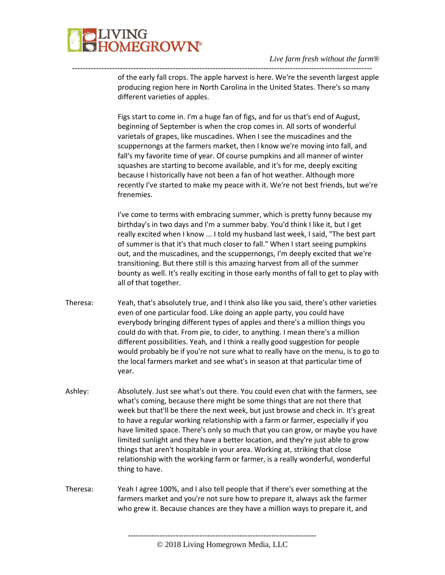

---------------------------------------------------------------------------------------------------------------- of the early fall crops. The apple harvest is here. We're the seventh largest apple producing region here in North Carolina in the United States. There's so many different varieties of apples.

> Figs start to come in. I'm a huge fan of figs, and for us that's end of August, beginning of September is when the crop comes in. All sorts of wonderful varietals of grapes, like muscadines. When I see the muscadines and the scuppernongs at the farmers market, then I know we're moving into fall, and fall's my favorite time of year. Of course pumpkins and all manner of winter squashes are starting to become available, and it's for me, deeply exciting because I historically have not been a fan of hot weather. Although more recently I've started to make my peace with it. We're not best friends, but we're frenemies.

> I've come to terms with embracing summer, which is pretty funny because my birthday's in two days and I'm a summer baby. You'd think I like it, but I get really excited when I know ... I told my husband last week, I said, "The best part of summer is that it's that much closer to fall." When I start seeing pumpkins out, and the muscadines, and the scuppernongs, I'm deeply excited that we're transitioning. But there still is this amazing harvest from all of the summer bounty as well. It's really exciting in those early months of fall to get to play with all of that together.

- Theresa: Yeah, that's absolutely true, and I think also like you said, there's other varieties even of one particular food. Like doing an apple party, you could have everybody bringing different types of apples and there's a million things you could do with that. From pie, to cider, to anything. I mean there's a million different possibilities. Yeah, and I think a really good suggestion for people would probably be if you're not sure what to really have on the menu, is to go to the local farmers market and see what's in season at that particular time of year.
- Ashley: Absolutely. Just see what's out there. You could even chat with the farmers, see what's coming, because there might be some things that are not there that week but that'll be there the next week, but just browse and check in. It's great to have a regular working relationship with a farm or farmer, especially if you have limited space. There's only so much that you can grow, or maybe you have limited sunlight and they have a better location, and they're just able to grow things that aren't hospitable in your area. Working at, striking that close relationship with the working farm or farmer, is a really wonderful, wonderful thing to have.
- Theresa: Yeah I agree 100%, and I also tell people that if there's ever something at the farmers market and you're not sure how to prepare it, always ask the farmer who grew it. Because chances are they have a million ways to prepare it, and

<sup>©</sup> 2018 Living Homegrown Media, LLC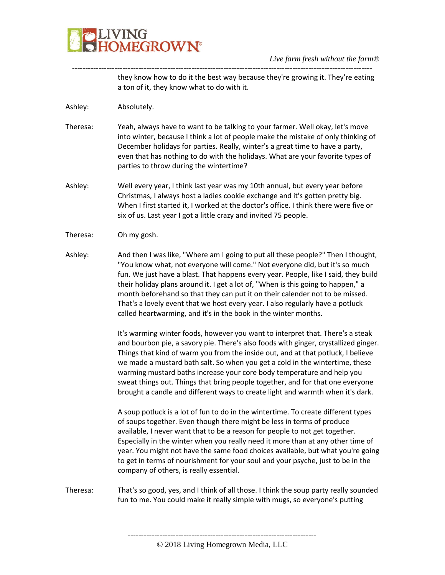

---------------------------------------------------------------------------------------------------------------- they know how to do it the best way because they're growing it. They're eating a ton of it, they know what to do with it.

Ashley: Absolutely.

- Theresa: Yeah, always have to want to be talking to your farmer. Well okay, let's move into winter, because I think a lot of people make the mistake of only thinking of December holidays for parties. Really, winter's a great time to have a party, even that has nothing to do with the holidays. What are your favorite types of parties to throw during the wintertime?
- Ashley: Well every year, I think last year was my 10th annual, but every year before Christmas, I always host a ladies cookie exchange and it's gotten pretty big. When I first started it, I worked at the doctor's office. I think there were five or six of us. Last year I got a little crazy and invited 75 people.
- Theresa: Oh my gosh.
- Ashley: And then I was like, "Where am I going to put all these people?" Then I thought, "You know what, not everyone will come." Not everyone did, but it's so much fun. We just have a blast. That happens every year. People, like I said, they build their holiday plans around it. I get a lot of, "When is this going to happen," a month beforehand so that they can put it on their calender not to be missed. That's a lovely event that we host every year. I also regularly have a potluck called heartwarming, and it's in the book in the winter months.

It's warming winter foods, however you want to interpret that. There's a steak and bourbon pie, a savory pie. There's also foods with ginger, crystallized ginger. Things that kind of warm you from the inside out, and at that potluck, I believe we made a mustard bath salt. So when you get a cold in the wintertime, these warming mustard baths increase your core body temperature and help you sweat things out. Things that bring people together, and for that one everyone brought a candle and different ways to create light and warmth when it's dark.

A soup potluck is a lot of fun to do in the wintertime. To create different types of soups together. Even though there might be less in terms of produce available, I never want that to be a reason for people to not get together. Especially in the winter when you really need it more than at any other time of year. You might not have the same food choices available, but what you're going to get in terms of nourishment for your soul and your psyche, just to be in the company of others, is really essential.

Theresa: That's so good, yes, and I think of all those. I think the soup party really sounded fun to me. You could make it really simple with mugs, so everyone's putting

<sup>-----------------------------------------------------------------------</sup>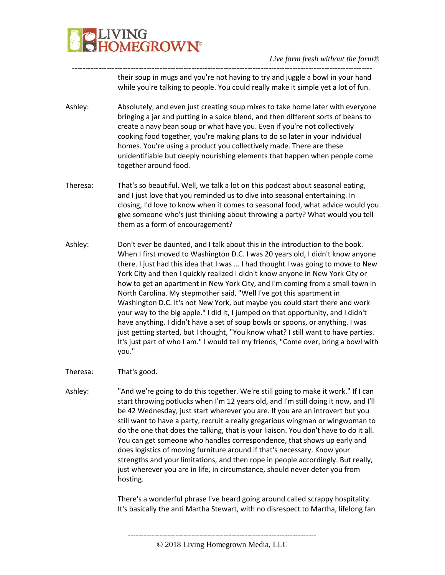

---------------------------------------------------------------------------------------------------------------- their soup in mugs and you're not having to try and juggle a bowl in your hand while you're talking to people. You could really make it simple yet a lot of fun.

- Ashley: Absolutely, and even just creating soup mixes to take home later with everyone bringing a jar and putting in a spice blend, and then different sorts of beans to create a navy bean soup or what have you. Even if you're not collectively cooking food together, you're making plans to do so later in your individual homes. You're using a product you collectively made. There are these unidentifiable but deeply nourishing elements that happen when people come together around food.
- Theresa: That's so beautiful. Well, we talk a lot on this podcast about seasonal eating, and I just love that you reminded us to dive into seasonal entertaining. In closing, I'd love to know when it comes to seasonal food, what advice would you give someone who's just thinking about throwing a party? What would you tell them as a form of encouragement?
- Ashley: Don't ever be daunted, and I talk about this in the introduction to the book. When I first moved to Washington D.C. I was 20 years old, I didn't know anyone there. I just had this idea that I was ... I had thought I was going to move to New York City and then I quickly realized I didn't know anyone in New York City or how to get an apartment in New York City, and I'm coming from a small town in North Carolina. My stepmother said, "Well I've got this apartment in Washington D.C. It's not New York, but maybe you could start there and work your way to the big apple." I did it, I jumped on that opportunity, and I didn't have anything. I didn't have a set of soup bowls or spoons, or anything. I was just getting started, but I thought, "You know what? I still want to have parties. It's just part of who I am." I would tell my friends, "Come over, bring a bowl with you."
- Theresa: That's good.
- Ashley: "And we're going to do this together. We're still going to make it work." If I can start throwing potlucks when I'm 12 years old, and I'm still doing it now, and I'll be 42 Wednesday, just start wherever you are. If you are an introvert but you still want to have a party, recruit a really gregarious wingman or wingwoman to do the one that does the talking, that is your liaison. You don't have to do it all. You can get someone who handles correspondence, that shows up early and does logistics of moving furniture around if that's necessary. Know your strengths and your limitations, and then rope in people accordingly. But really, just wherever you are in life, in circumstance, should never deter you from hosting.

There's a wonderful phrase I've heard going around called scrappy hospitality. It's basically the anti Martha Stewart, with no disrespect to Martha, lifelong fan

----------------------------------------------------------------------- © 2018 Living Homegrown Media, LLC